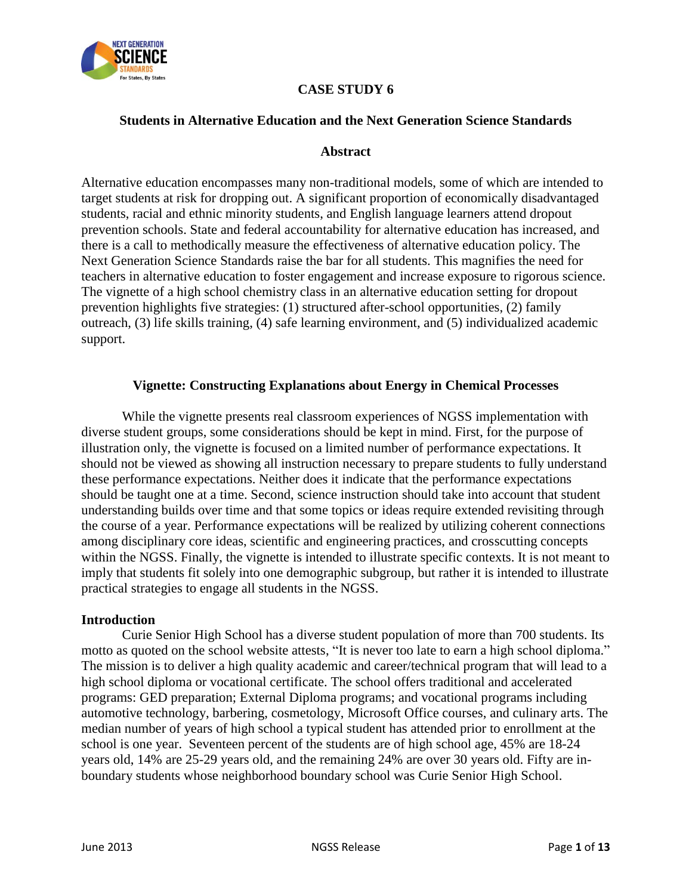

# **CASE STUDY 6**

### **Students in Alternative Education and the Next Generation Science Standards**

### **Abstract**

Alternative education encompasses many non-traditional models, some of which are intended to target students at risk for dropping out. A significant proportion of economically disadvantaged students, racial and ethnic minority students, and English language learners attend dropout prevention schools. State and federal accountability for alternative education has increased, and there is a call to methodically measure the effectiveness of alternative education policy. The Next Generation Science Standards raise the bar for all students. This magnifies the need for teachers in alternative education to foster engagement and increase exposure to rigorous science. The vignette of a high school chemistry class in an alternative education setting for dropout prevention highlights five strategies: (1) structured after-school opportunities, (2) family outreach, (3) life skills training, (4) safe learning environment, and (5) individualized academic support.

### **Vignette: Constructing Explanations about Energy in Chemical Processes**

While the vignette presents real classroom experiences of NGSS implementation with diverse student groups, some considerations should be kept in mind. First, for the purpose of illustration only, the vignette is focused on a limited number of performance expectations. It should not be viewed as showing all instruction necessary to prepare students to fully understand these performance expectations. Neither does it indicate that the performance expectations should be taught one at a time. Second, science instruction should take into account that student understanding builds over time and that some topics or ideas require extended revisiting through the course of a year. Performance expectations will be realized by utilizing coherent connections among disciplinary core ideas, scientific and engineering practices, and crosscutting concepts within the NGSS. Finally, the vignette is intended to illustrate specific contexts. It is not meant to imply that students fit solely into one demographic subgroup, but rather it is intended to illustrate practical strategies to engage all students in the NGSS.

#### **Introduction**

Curie Senior High School has a diverse student population of more than 700 students. Its motto as quoted on the school website attests, "It is never too late to earn a high school diploma." The mission is to deliver a high quality academic and career/technical program that will lead to a high school diploma or vocational certificate. The school offers traditional and accelerated programs: GED preparation; External Diploma programs; and vocational programs including automotive technology, barbering, cosmetology, Microsoft Office courses, and culinary arts. The median number of years of high school a typical student has attended prior to enrollment at the school is one year. Seventeen percent of the students are of high school age, 45% are 18-24 years old, 14% are 25-29 years old, and the remaining 24% are over 30 years old. Fifty are inboundary students whose neighborhood boundary school was Curie Senior High School.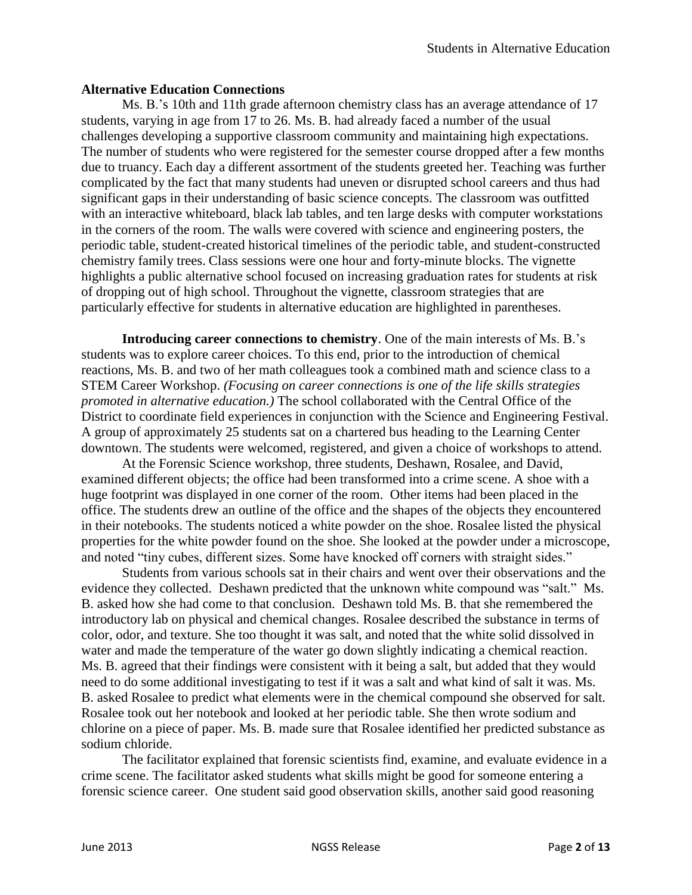## **Alternative Education Connections**

Ms. B.'s 10th and 11th grade afternoon chemistry class has an average attendance of 17 students, varying in age from 17 to 26. Ms. B. had already faced a number of the usual challenges developing a supportive classroom community and maintaining high expectations. The number of students who were registered for the semester course dropped after a few months due to truancy. Each day a different assortment of the students greeted her. Teaching was further complicated by the fact that many students had uneven or disrupted school careers and thus had significant gaps in their understanding of basic science concepts. The classroom was outfitted with an interactive whiteboard, black lab tables, and ten large desks with computer workstations in the corners of the room. The walls were covered with science and engineering posters, the periodic table, student-created historical timelines of the periodic table, and student-constructed chemistry family trees. Class sessions were one hour and forty-minute blocks. The vignette highlights a public alternative school focused on increasing graduation rates for students at risk of dropping out of high school. Throughout the vignette, classroom strategies that are particularly effective for students in alternative education are highlighted in parentheses.

**Introducing career connections to chemistry**. One of the main interests of Ms. B.'s students was to explore career choices. To this end, prior to the introduction of chemical reactions, Ms. B. and two of her math colleagues took a combined math and science class to a STEM Career Workshop. *(Focusing on career connections is one of the life skills strategies promoted in alternative education.)* The school collaborated with the Central Office of the District to coordinate field experiences in conjunction with the Science and Engineering Festival. A group of approximately 25 students sat on a chartered bus heading to the Learning Center downtown. The students were welcomed, registered, and given a choice of workshops to attend.

At the Forensic Science workshop, three students, Deshawn, Rosalee, and David, examined different objects; the office had been transformed into a crime scene. A shoe with a huge footprint was displayed in one corner of the room. Other items had been placed in the office. The students drew an outline of the office and the shapes of the objects they encountered in their notebooks. The students noticed a white powder on the shoe. Rosalee listed the physical properties for the white powder found on the shoe. She looked at the powder under a microscope, and noted "tiny cubes, different sizes. Some have knocked off corners with straight sides."

Students from various schools sat in their chairs and went over their observations and the evidence they collected. Deshawn predicted that the unknown white compound was "salt." Ms. B. asked how she had come to that conclusion. Deshawn told Ms. B. that she remembered the introductory lab on physical and chemical changes. Rosalee described the substance in terms of color, odor, and texture. She too thought it was salt, and noted that the white solid dissolved in water and made the temperature of the water go down slightly indicating a chemical reaction. Ms. B. agreed that their findings were consistent with it being a salt, but added that they would need to do some additional investigating to test if it was a salt and what kind of salt it was. Ms. B. asked Rosalee to predict what elements were in the chemical compound she observed for salt. Rosalee took out her notebook and looked at her periodic table. She then wrote sodium and chlorine on a piece of paper. Ms. B. made sure that Rosalee identified her predicted substance as sodium chloride.

The facilitator explained that forensic scientists find, examine, and evaluate evidence in a crime scene. The facilitator asked students what skills might be good for someone entering a forensic science career. One student said good observation skills, another said good reasoning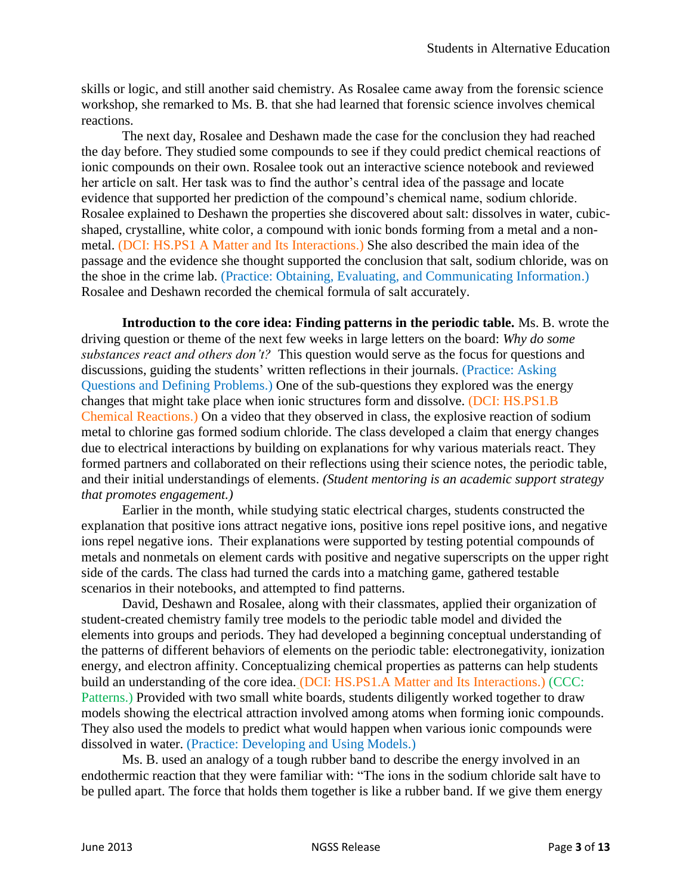skills or logic, and still another said chemistry. As Rosalee came away from the forensic science workshop, she remarked to Ms. B. that she had learned that forensic science involves chemical reactions.

The next day, Rosalee and Deshawn made the case for the conclusion they had reached the day before. They studied some compounds to see if they could predict chemical reactions of ionic compounds on their own. Rosalee took out an interactive science notebook and reviewed her article on salt. Her task was to find the author's central idea of the passage and locate evidence that supported her prediction of the compound's chemical name, sodium chloride. Rosalee explained to Deshawn the properties she discovered about salt: dissolves in water, cubicshaped, crystalline, white color, a compound with ionic bonds forming from a metal and a nonmetal. (DCI: HS.PS1 A Matter and Its Interactions.) She also described the main idea of the passage and the evidence she thought supported the conclusion that salt, sodium chloride, was on the shoe in the crime lab. (Practice: Obtaining, Evaluating, and Communicating Information.) Rosalee and Deshawn recorded the chemical formula of salt accurately.

**Introduction to the core idea: Finding patterns in the periodic table.** Ms. B. wrote the driving question or theme of the next few weeks in large letters on the board: *Why do some substances react and others don't?* This question would serve as the focus for questions and discussions, guiding the students' written reflections in their journals. (Practice: Asking Questions and Defining Problems.) One of the sub-questions they explored was the energy changes that might take place when ionic structures form and dissolve. (DCI: HS.PS1.B Chemical Reactions.) On a video that they observed in class, the explosive reaction of sodium metal to chlorine gas formed sodium chloride. The class developed a claim that energy changes due to electrical interactions by building on explanations for why various materials react. They formed partners and collaborated on their reflections using their science notes, the periodic table, and their initial understandings of elements. *(Student mentoring is an academic support strategy that promotes engagement.)*

Earlier in the month, while studying static electrical charges, students constructed the explanation that positive ions attract negative ions, positive ions repel positive ions, and negative ions repel negative ions. Their explanations were supported by testing potential compounds of metals and nonmetals on element cards with positive and negative superscripts on the upper right side of the cards. The class had turned the cards into a matching game, gathered testable scenarios in their notebooks, and attempted to find patterns.

David, Deshawn and Rosalee, along with their classmates, applied their organization of student-created chemistry family tree models to the periodic table model and divided the elements into groups and periods. They had developed a beginning conceptual understanding of the patterns of different behaviors of elements on the periodic table: electronegativity, ionization energy, and electron affinity. Conceptualizing chemical properties as patterns can help students build an understanding of the core idea. (DCI: HS.PS1.A Matter and Its Interactions.) (CCC: Patterns.) Provided with two small white boards, students diligently worked together to draw models showing the electrical attraction involved among atoms when forming ionic compounds. They also used the models to predict what would happen when various ionic compounds were dissolved in water. (Practice: Developing and Using Models.)

Ms. B. used an analogy of a tough rubber band to describe the energy involved in an endothermic reaction that they were familiar with: "The ions in the sodium chloride salt have to be pulled apart. The force that holds them together is like a rubber band. If we give them energy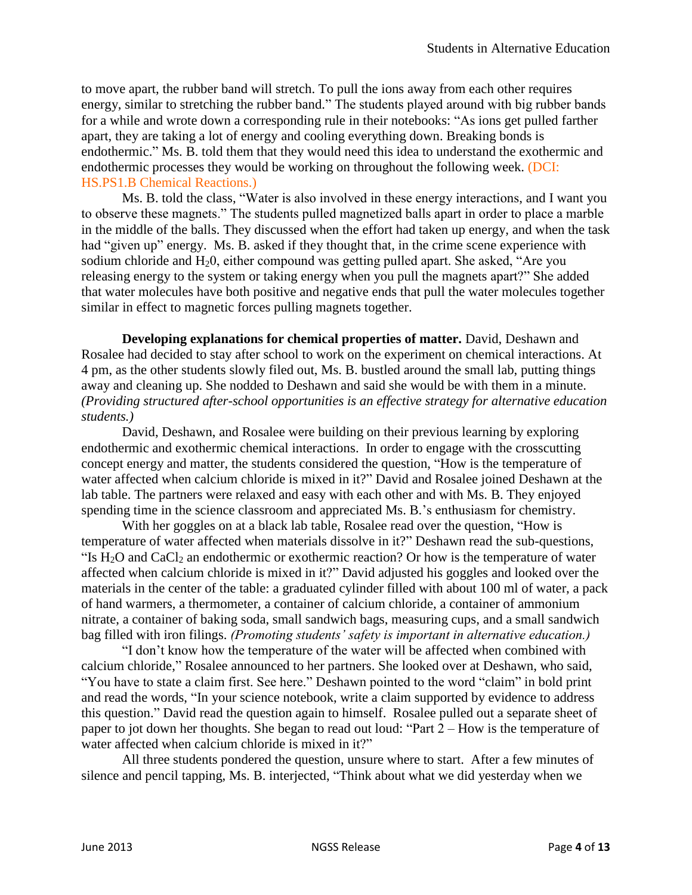to move apart, the rubber band will stretch. To pull the ions away from each other requires energy, similar to stretching the rubber band." The students played around with big rubber bands for a while and wrote down a corresponding rule in their notebooks: "As ions get pulled farther apart, they are taking a lot of energy and cooling everything down. Breaking bonds is endothermic." Ms. B. told them that they would need this idea to understand the exothermic and endothermic processes they would be working on throughout the following week. (DCI: HS.PS1.B Chemical Reactions.)

Ms. B. told the class, "Water is also involved in these energy interactions, and I want you to observe these magnets." The students pulled magnetized balls apart in order to place a marble in the middle of the balls. They discussed when the effort had taken up energy, and when the task had "given up" energy. Ms. B. asked if they thought that, in the crime scene experience with sodium chloride and  $H_20$ , either compound was getting pulled apart. She asked, "Are you releasing energy to the system or taking energy when you pull the magnets apart?" She added that water molecules have both positive and negative ends that pull the water molecules together similar in effect to magnetic forces pulling magnets together.

**Developing explanations for chemical properties of matter.** David, Deshawn and Rosalee had decided to stay after school to work on the experiment on chemical interactions. At 4 pm, as the other students slowly filed out, Ms. B. bustled around the small lab, putting things away and cleaning up. She nodded to Deshawn and said she would be with them in a minute. *(Providing structured after-school opportunities is an effective strategy for alternative education students.)*

David, Deshawn, and Rosalee were building on their previous learning by exploring endothermic and exothermic chemical interactions. In order to engage with the crosscutting concept energy and matter, the students considered the question, "How is the temperature of water affected when calcium chloride is mixed in it?" David and Rosalee joined Deshawn at the lab table. The partners were relaxed and easy with each other and with Ms. B. They enjoyed spending time in the science classroom and appreciated Ms. B.'s enthusiasm for chemistry.

With her goggles on at a black lab table, Rosalee read over the question, "How is temperature of water affected when materials dissolve in it?" Deshawn read the sub-questions, "Is  $H_2O$  and  $CaCl<sub>2</sub>$  an endothermic or exothermic reaction? Or how is the temperature of water affected when calcium chloride is mixed in it?" David adjusted his goggles and looked over the materials in the center of the table: a graduated cylinder filled with about 100 ml of water, a pack of hand warmers, a thermometer, a container of calcium chloride, a container of ammonium nitrate, a container of baking soda, small sandwich bags, measuring cups, and a small sandwich bag filled with iron filings. *(Promoting students' safety is important in alternative education.)* 

"I don't know how the temperature of the water will be affected when combined with calcium chloride," Rosalee announced to her partners. She looked over at Deshawn, who said, "You have to state a claim first. See here." Deshawn pointed to the word "claim" in bold print and read the words, "In your science notebook, write a claim supported by evidence to address this question." David read the question again to himself. Rosalee pulled out a separate sheet of paper to jot down her thoughts. She began to read out loud: "Part 2 – How is the temperature of water affected when calcium chloride is mixed in it?"

All three students pondered the question, unsure where to start. After a few minutes of silence and pencil tapping, Ms. B. interjected, "Think about what we did yesterday when we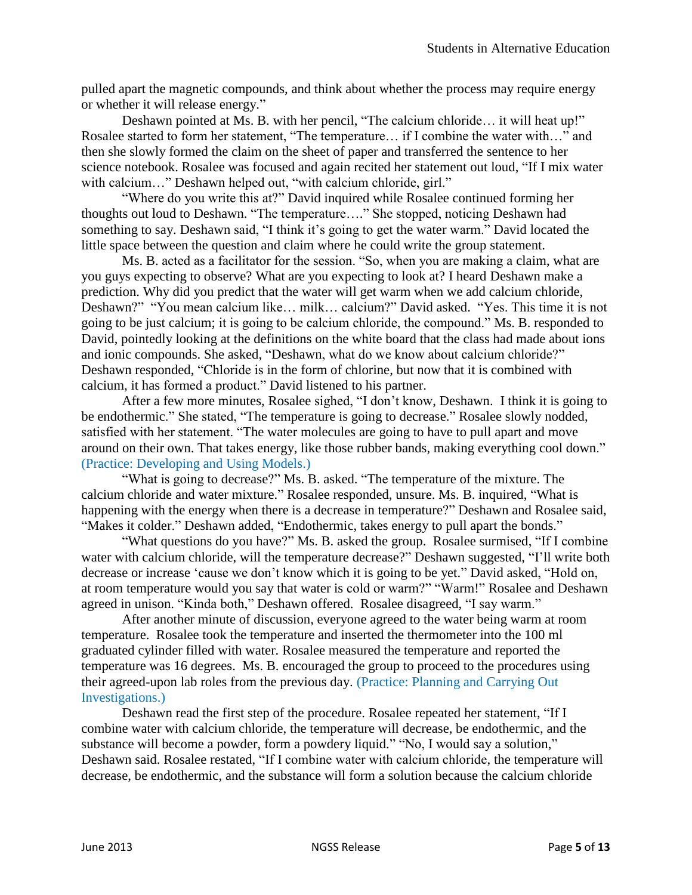pulled apart the magnetic compounds, and think about whether the process may require energy or whether it will release energy."

Deshawn pointed at Ms. B. with her pencil, "The calcium chloride… it will heat up!" Rosalee started to form her statement, "The temperature… if I combine the water with…" and then she slowly formed the claim on the sheet of paper and transferred the sentence to her science notebook. Rosalee was focused and again recited her statement out loud, "If I mix water with calcium..." Deshawn helped out, "with calcium chloride, girl."

"Where do you write this at?" David inquired while Rosalee continued forming her thoughts out loud to Deshawn. "The temperature…." She stopped, noticing Deshawn had something to say. Deshawn said, "I think it's going to get the water warm." David located the little space between the question and claim where he could write the group statement.

Ms. B. acted as a facilitator for the session. "So, when you are making a claim, what are you guys expecting to observe? What are you expecting to look at? I heard Deshawn make a prediction. Why did you predict that the water will get warm when we add calcium chloride, Deshawn?" "You mean calcium like… milk… calcium?" David asked. "Yes. This time it is not going to be just calcium; it is going to be calcium chloride, the compound." Ms. B. responded to David, pointedly looking at the definitions on the white board that the class had made about ions and ionic compounds. She asked, "Deshawn, what do we know about calcium chloride?" Deshawn responded, "Chloride is in the form of chlorine, but now that it is combined with calcium, it has formed a product." David listened to his partner.

After a few more minutes, Rosalee sighed, "I don't know, Deshawn. I think it is going to be endothermic." She stated, "The temperature is going to decrease." Rosalee slowly nodded, satisfied with her statement. "The water molecules are going to have to pull apart and move around on their own. That takes energy, like those rubber bands, making everything cool down." (Practice: Developing and Using Models.)

"What is going to decrease?" Ms. B. asked. "The temperature of the mixture. The calcium chloride and water mixture." Rosalee responded, unsure. Ms. B. inquired, "What is happening with the energy when there is a decrease in temperature?" Deshawn and Rosalee said, "Makes it colder." Deshawn added, "Endothermic, takes energy to pull apart the bonds."

"What questions do you have?" Ms. B. asked the group. Rosalee surmised, "If I combine water with calcium chloride, will the temperature decrease?" Deshawn suggested, "I'll write both decrease or increase 'cause we don't know which it is going to be yet." David asked, "Hold on, at room temperature would you say that water is cold or warm?" "Warm!" Rosalee and Deshawn agreed in unison. "Kinda both," Deshawn offered. Rosalee disagreed, "I say warm."

After another minute of discussion, everyone agreed to the water being warm at room temperature. Rosalee took the temperature and inserted the thermometer into the 100 ml graduated cylinder filled with water. Rosalee measured the temperature and reported the temperature was 16 degrees. Ms. B. encouraged the group to proceed to the procedures using their agreed-upon lab roles from the previous day. (Practice: Planning and Carrying Out Investigations.)

Deshawn read the first step of the procedure. Rosalee repeated her statement, "If I combine water with calcium chloride, the temperature will decrease, be endothermic, and the substance will become a powder, form a powdery liquid." "No, I would say a solution," Deshawn said. Rosalee restated, "If I combine water with calcium chloride, the temperature will decrease, be endothermic, and the substance will form a solution because the calcium chloride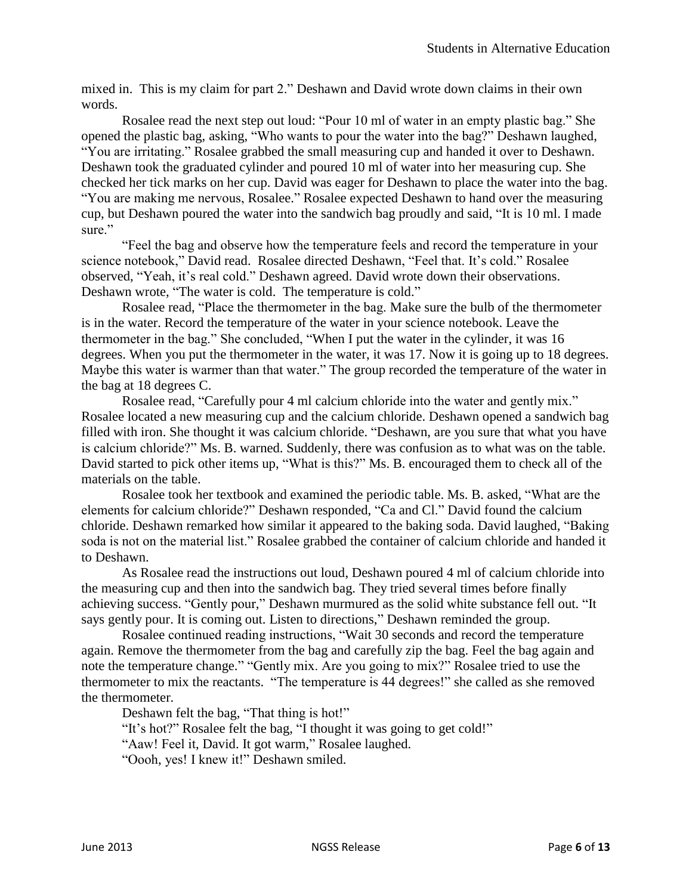mixed in. This is my claim for part 2." Deshawn and David wrote down claims in their own words.

Rosalee read the next step out loud: "Pour 10 ml of water in an empty plastic bag." She opened the plastic bag, asking, "Who wants to pour the water into the bag?" Deshawn laughed, "You are irritating." Rosalee grabbed the small measuring cup and handed it over to Deshawn. Deshawn took the graduated cylinder and poured 10 ml of water into her measuring cup. She checked her tick marks on her cup. David was eager for Deshawn to place the water into the bag. "You are making me nervous, Rosalee." Rosalee expected Deshawn to hand over the measuring cup, but Deshawn poured the water into the sandwich bag proudly and said, "It is 10 ml. I made sure."

"Feel the bag and observe how the temperature feels and record the temperature in your science notebook," David read. Rosalee directed Deshawn, "Feel that. It's cold." Rosalee observed, "Yeah, it's real cold." Deshawn agreed. David wrote down their observations. Deshawn wrote, "The water is cold. The temperature is cold."

Rosalee read, "Place the thermometer in the bag. Make sure the bulb of the thermometer is in the water. Record the temperature of the water in your science notebook. Leave the thermometer in the bag." She concluded, "When I put the water in the cylinder, it was 16 degrees. When you put the thermometer in the water, it was 17. Now it is going up to 18 degrees. Maybe this water is warmer than that water." The group recorded the temperature of the water in the bag at 18 degrees C.

Rosalee read, "Carefully pour 4 ml calcium chloride into the water and gently mix." Rosalee located a new measuring cup and the calcium chloride. Deshawn opened a sandwich bag filled with iron. She thought it was calcium chloride. "Deshawn, are you sure that what you have is calcium chloride?" Ms. B. warned. Suddenly, there was confusion as to what was on the table. David started to pick other items up, "What is this?" Ms. B. encouraged them to check all of the materials on the table.

Rosalee took her textbook and examined the periodic table. Ms. B. asked, "What are the elements for calcium chloride?" Deshawn responded, "Ca and Cl." David found the calcium chloride. Deshawn remarked how similar it appeared to the baking soda. David laughed, "Baking soda is not on the material list." Rosalee grabbed the container of calcium chloride and handed it to Deshawn.

As Rosalee read the instructions out loud, Deshawn poured 4 ml of calcium chloride into the measuring cup and then into the sandwich bag. They tried several times before finally achieving success. "Gently pour," Deshawn murmured as the solid white substance fell out. "It says gently pour. It is coming out. Listen to directions," Deshawn reminded the group.

Rosalee continued reading instructions, "Wait 30 seconds and record the temperature again. Remove the thermometer from the bag and carefully zip the bag. Feel the bag again and note the temperature change." "Gently mix. Are you going to mix?" Rosalee tried to use the thermometer to mix the reactants. "The temperature is 44 degrees!" she called as she removed the thermometer.

Deshawn felt the bag, "That thing is hot!"

"It's hot?" Rosalee felt the bag, "I thought it was going to get cold!"

"Aaw! Feel it, David. It got warm," Rosalee laughed.

"Oooh, yes! I knew it!" Deshawn smiled.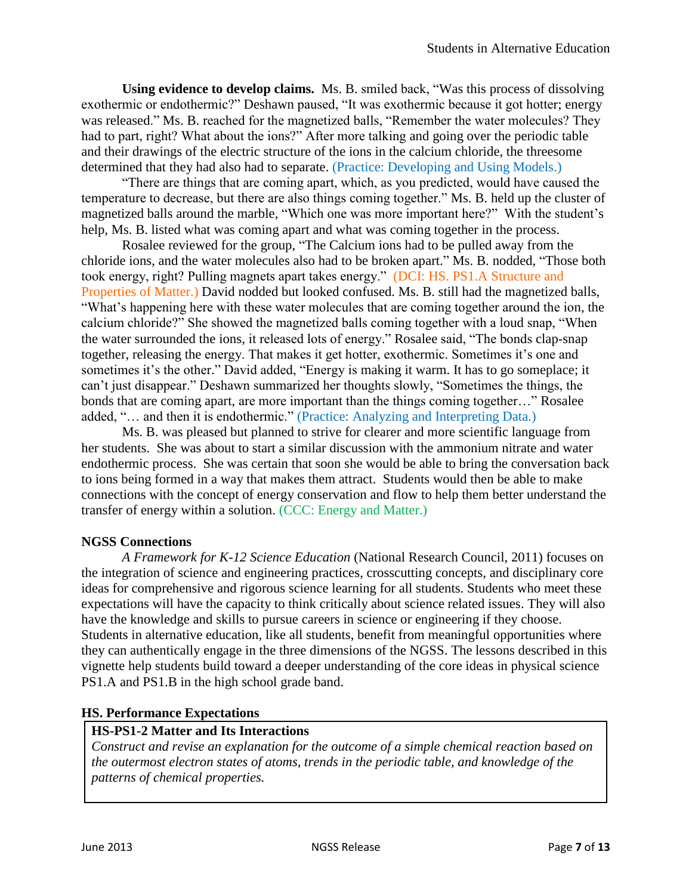**Using evidence to develop claims.** Ms. B. smiled back, "Was this process of dissolving exothermic or endothermic?" Deshawn paused, "It was exothermic because it got hotter; energy was released." Ms. B. reached for the magnetized balls, "Remember the water molecules? They had to part, right? What about the ions?" After more talking and going over the periodic table and their drawings of the electric structure of the ions in the calcium chloride, the threesome determined that they had also had to separate. (Practice: Developing and Using Models.)

"There are things that are coming apart, which, as you predicted, would have caused the temperature to decrease, but there are also things coming together." Ms. B. held up the cluster of magnetized balls around the marble, "Which one was more important here?" With the student's help, Ms. B. listed what was coming apart and what was coming together in the process.

Rosalee reviewed for the group, "The Calcium ions had to be pulled away from the chloride ions, and the water molecules also had to be broken apart." Ms. B. nodded, "Those both took energy, right? Pulling magnets apart takes energy." (DCI: HS. PS1.A Structure and Properties of Matter.) David nodded but looked confused. Ms. B. still had the magnetized balls, "What's happening here with these water molecules that are coming together around the ion, the calcium chloride?" She showed the magnetized balls coming together with a loud snap, "When the water surrounded the ions, it released lots of energy." Rosalee said, "The bonds clap-snap together, releasing the energy. That makes it get hotter, exothermic. Sometimes it's one and sometimes it's the other." David added, "Energy is making it warm. It has to go someplace; it can't just disappear." Deshawn summarized her thoughts slowly, "Sometimes the things, the bonds that are coming apart, are more important than the things coming together…" Rosalee added, "… and then it is endothermic." (Practice: Analyzing and Interpreting Data.)

Ms. B. was pleased but planned to strive for clearer and more scientific language from her students. She was about to start a similar discussion with the ammonium nitrate and water endothermic process. She was certain that soon she would be able to bring the conversation back to ions being formed in a way that makes them attract. Students would then be able to make connections with the concept of energy conservation and flow to help them better understand the transfer of energy within a solution. (CCC: Energy and Matter.)

### **NGSS Connections**

*A Framework for K-12 Science Education* (National Research Council, 2011) focuses on the integration of science and engineering practices, crosscutting concepts, and disciplinary core ideas for comprehensive and rigorous science learning for all students. Students who meet these expectations will have the capacity to think critically about science related issues. They will also have the knowledge and skills to pursue careers in science or engineering if they choose. Students in alternative education, like all students, benefit from meaningful opportunities where they can authentically engage in the three dimensions of the NGSS. The lessons described in this vignette help students build toward a deeper understanding of the core ideas in physical science PS1.A and PS1.B in the high school grade band.

### **HS. Performance Expectations**

## **HS-PS1-2 Matter and Its Interactions**

*Construct and revise an explanation for the outcome of a simple chemical reaction based on the outermost electron states of atoms, trends in the periodic table, and knowledge of the patterns of chemical properties.*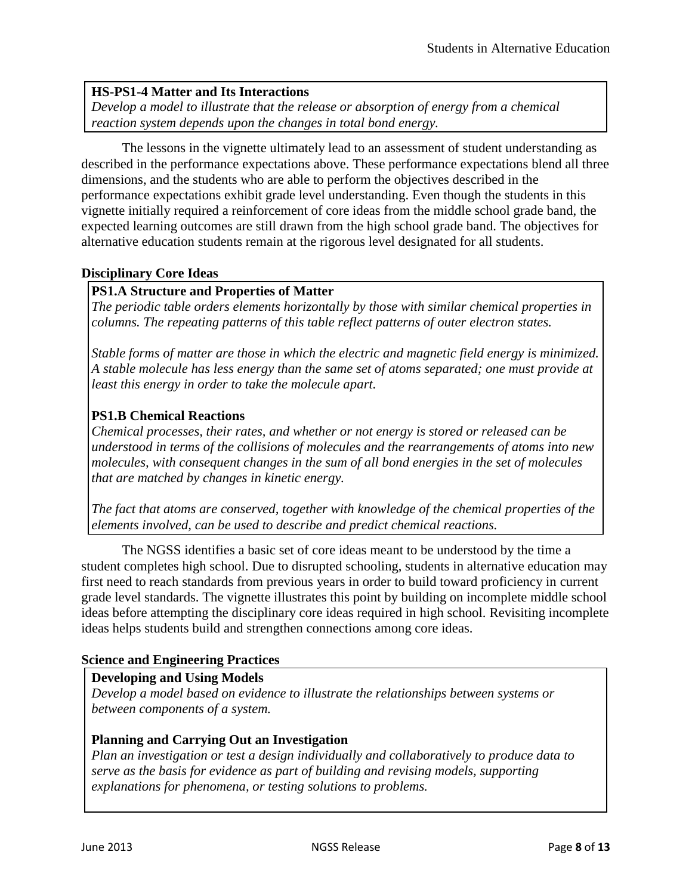### **HS-PS1-4 Matter and Its Interactions**

*Develop a model to illustrate that the release or absorption of energy from a chemical reaction system depends upon the changes in total bond energy.*

The lessons in the vignette ultimately lead to an assessment of student understanding as described in the performance expectations above. These performance expectations blend all three dimensions, and the students who are able to perform the objectives described in the performance expectations exhibit grade level understanding. Even though the students in this vignette initially required a reinforcement of core ideas from the middle school grade band, the expected learning outcomes are still drawn from the high school grade band. The objectives for alternative education students remain at the rigorous level designated for all students.

### **Disciplinary Core Ideas**

### **PS1.A Structure and Properties of Matter**

*The periodic table orders elements horizontally by those with similar chemical properties in columns. The repeating patterns of this table reflect patterns of outer electron states.*

*Stable forms of matter are those in which the electric and magnetic field energy is minimized. A stable molecule has less energy than the same set of atoms separated; one must provide at least this energy in order to take the molecule apart.*

### **PS1.B Chemical Reactions**

*Chemical processes, their rates, and whether or not energy is stored or released can be understood in terms of the collisions of molecules and the rearrangements of atoms into new molecules, with consequent changes in the sum of all bond energies in the set of molecules that are matched by changes in kinetic energy.*

*The fact that atoms are conserved, together with knowledge of the chemical properties of the elements involved, can be used to describe and predict chemical reactions.*

The NGSS identifies a basic set of core ideas meant to be understood by the time a student completes high school. Due to disrupted schooling, students in alternative education may first need to reach standards from previous years in order to build toward proficiency in current grade level standards. The vignette illustrates this point by building on incomplete middle school ideas before attempting the disciplinary core ideas required in high school. Revisiting incomplete ideas helps students build and strengthen connections among core ideas.

#### **Science and Engineering Practices**

#### **Developing and Using Models**

*Develop a model based on evidence to illustrate the relationships between systems or between components of a system.*

#### **Planning and Carrying Out an Investigation**

*Plan an investigation or test a design individually and collaboratively to produce data to serve as the basis for evidence as part of building and revising models, supporting explanations for phenomena, or testing solutions to problems.*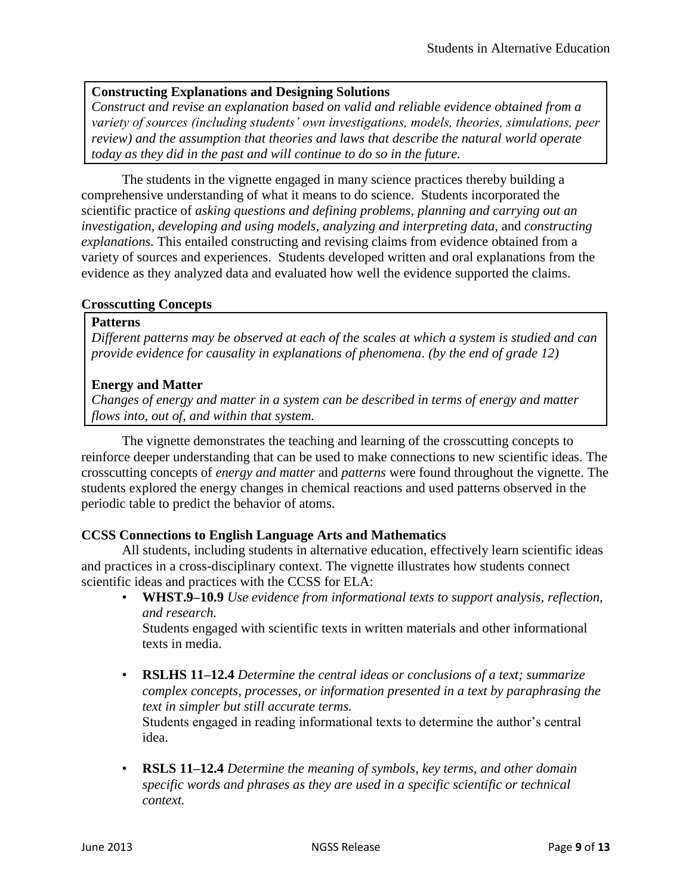### **Constructing Explanations and Designing Solutions**

*Construct and revise an explanation based on valid and reliable evidence obtained from a variety of sources (including students' own investigations, models, theories, simulations, peer review) and the assumption that theories and laws that describe the natural world operate today as they did in the past and will continue to do so in the future.*

The students in the vignette engaged in many science practices thereby building a comprehensive understanding of what it means to do science. Students incorporated the scientific practice of *asking questions and defining problems, planning and carrying out an investigation, developing and using models, analyzing and interpreting data,* and *constructing explanations.* This entailed constructing and revising claims from evidence obtained from a variety of sources and experiences. Students developed written and oral explanations from the evidence as they analyzed data and evaluated how well the evidence supported the claims.

### **Crosscutting Concepts**

#### **Patterns**

*Different patterns may be observed at each of the scales at which a system is studied and can provide evidence for causality in explanations of phenomena*. *(by the end of grade 12)*

### **Energy and Matter**

*Changes of energy and matter in a system can be described in terms of energy and matter flows into, out of, and within that system.*

The vignette demonstrates the teaching and learning of the crosscutting concepts to reinforce deeper understanding that can be used to make connections to new scientific ideas. The crosscutting concepts of *energy and matter* and *patterns* were found throughout the vignette. The students explored the energy changes in chemical reactions and used patterns observed in the periodic table to predict the behavior of atoms.

### **CCSS Connections to English Language Arts and Mathematics**

All students, including students in alternative education, effectively learn scientific ideas and practices in a cross-disciplinary context. The vignette illustrates how students connect scientific ideas and practices with the CCSS for ELA:

• **WHST.9***–***10.9** *Use evidence from informational texts to support analysis, reflection, and research.*

Students engaged with scientific texts in written materials and other informational texts in media.

• **RSLHS 11***–***12.4** *Determine the central ideas or conclusions of a text; summarize complex concepts, processes, or information presented in a text by paraphrasing the text in simpler but still accurate terms.*

Students engaged in reading informational texts to determine the author's central idea.

• **RSLS 11–12.4** *Determine the meaning of symbols, key terms, and other domain specific words and phrases as they are used in a specific scientific or technical context.*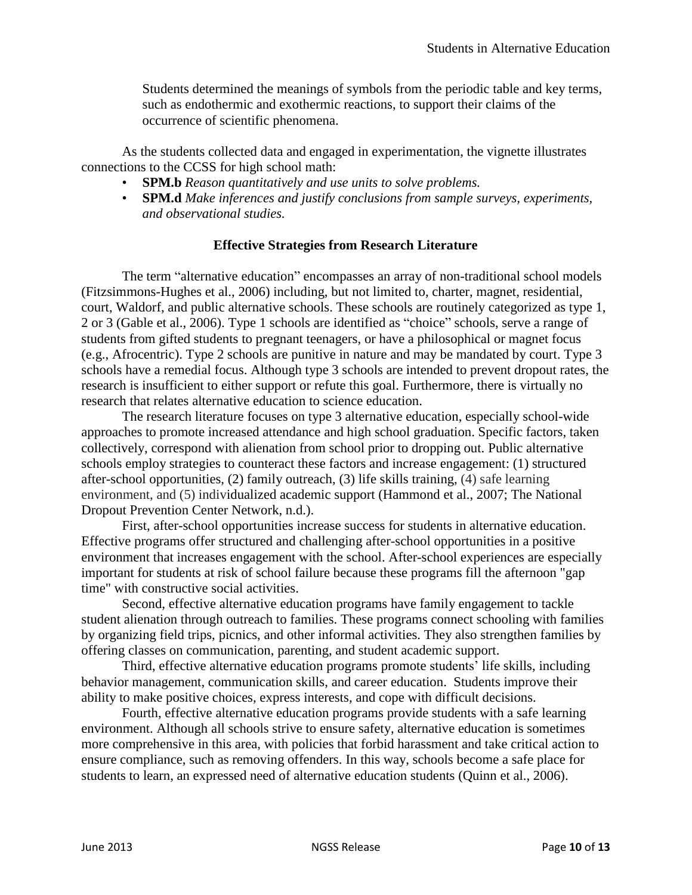Students determined the meanings of symbols from the periodic table and key terms, such as endothermic and exothermic reactions, to support their claims of the occurrence of scientific phenomena.

As the students collected data and engaged in experimentation, the vignette illustrates connections to the CCSS for high school math:

- **SPM.b** *Reason quantitatively and use units to solve problems.*
- **SPM.d** *Make inferences and justify conclusions from sample surveys, experiments, and observational studies.*

## **Effective Strategies from Research Literature**

The term "alternative education" encompasses an array of non-traditional school models (Fitzsimmons-Hughes et al., 2006) including, but not limited to, charter, magnet, residential, court, Waldorf, and public alternative schools. These schools are routinely categorized as type 1, 2 or 3 (Gable et al., 2006). Type 1 schools are identified as "choice" schools, serve a range of students from gifted students to pregnant teenagers, or have a philosophical or magnet focus (e.g., Afrocentric). Type 2 schools are punitive in nature and may be mandated by court. Type 3 schools have a remedial focus. Although type 3 schools are intended to prevent dropout rates, the research is insufficient to either support or refute this goal. Furthermore, there is virtually no research that relates alternative education to science education.

The research literature focuses on type 3 alternative education, especially school-wide approaches to promote increased attendance and high school graduation. Specific factors, taken collectively, correspond with alienation from school prior to dropping out. Public alternative schools employ strategies to counteract these factors and increase engagement: (1) structured after-school opportunities, (2) family outreach, (3) life skills training, (4) safe learning environment, and (5) individualized academic support (Hammond et al., 2007; The National Dropout Prevention Center Network, n.d.).

First, after-school opportunities increase success for students in alternative education. Effective programs offer structured and challenging after-school opportunities in a positive environment that increases engagement with the school. After-school experiences are especially important for students at risk of school failure because these programs fill the afternoon "gap time" with constructive social activities.

Second, effective alternative education programs have family engagement to tackle student alienation through outreach to families. These programs connect schooling with families by organizing field trips, picnics, and other informal activities. They also strengthen families by offering classes on communication, parenting, and student academic support.

Third, effective alternative education programs promote students' life skills, including behavior management, communication skills, and career education. Students improve their ability to make positive choices, express interests, and cope with difficult decisions.

Fourth, effective alternative education programs provide students with a safe learning environment. Although all schools strive to ensure safety, alternative education is sometimes more comprehensive in this area, with policies that forbid harassment and take critical action to ensure compliance, such as removing offenders. In this way, schools become a safe place for students to learn, an expressed need of alternative education students (Quinn et al., 2006).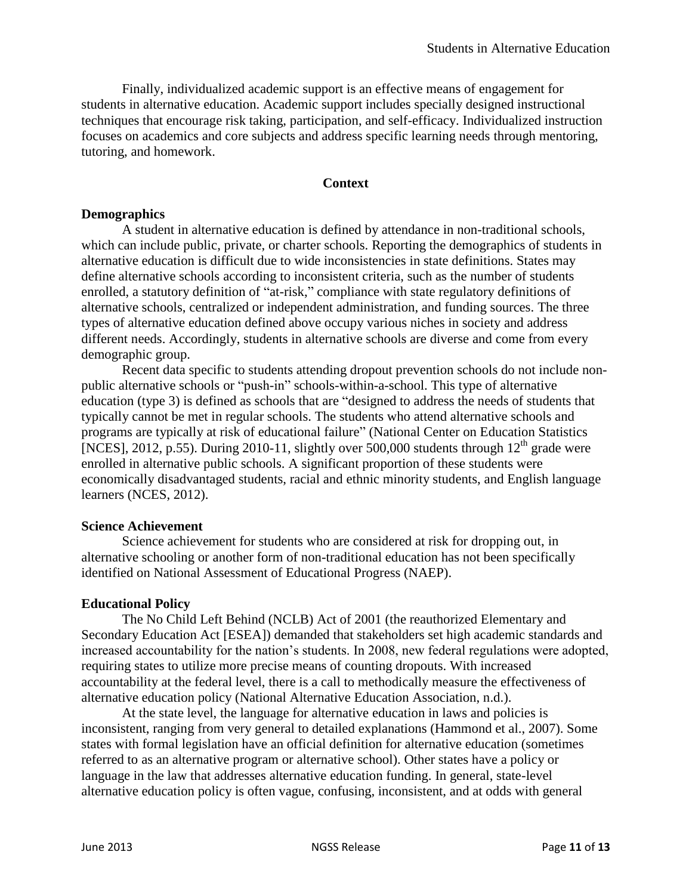Finally, individualized academic support is an effective means of engagement for students in alternative education. Academic support includes specially designed instructional techniques that encourage risk taking, participation, and self-efficacy. Individualized instruction focuses on academics and core subjects and address specific learning needs through mentoring, tutoring, and homework.

### **Context**

### **Demographics**

A student in alternative education is defined by attendance in non-traditional schools, which can include public, private, or charter schools. Reporting the demographics of students in alternative education is difficult due to wide inconsistencies in state definitions. States may define alternative schools according to inconsistent criteria, such as the number of students enrolled, a statutory definition of "at-risk," compliance with state regulatory definitions of alternative schools, centralized or independent administration, and funding sources. The three types of alternative education defined above occupy various niches in society and address different needs. Accordingly, students in alternative schools are diverse and come from every demographic group.

Recent data specific to students attending dropout prevention schools do not include nonpublic alternative schools or "push-in" schools-within-a-school. This type of alternative education (type 3) is defined as schools that are "designed to address the needs of students that typically cannot be met in regular schools. The students who attend alternative schools and programs are typically at risk of educational failure" (National Center on Education Statistics [NCES], 2012, p.55). During 2010-11, slightly over 500,000 students through  $12<sup>th</sup>$  grade were enrolled in alternative public schools. A significant proportion of these students were economically disadvantaged students, racial and ethnic minority students, and English language learners (NCES, 2012).

### **Science Achievement**

Science achievement for students who are considered at risk for dropping out, in alternative schooling or another form of non-traditional education has not been specifically identified on National Assessment of Educational Progress (NAEP).

## **Educational Policy**

The No Child Left Behind (NCLB) Act of 2001 (the reauthorized Elementary and Secondary Education Act [ESEA]) demanded that stakeholders set high academic standards and increased accountability for the nation's students. In 2008, new federal regulations were adopted, requiring states to utilize more precise means of counting dropouts. With increased accountability at the federal level, there is a call to methodically measure the effectiveness of alternative education policy (National Alternative Education Association, n.d.).

At the state level, the language for alternative education in laws and policies is inconsistent, ranging from very general to detailed explanations (Hammond et al., 2007). Some states with formal legislation have an official definition for alternative education (sometimes referred to as an alternative program or alternative school). Other states have a policy or language in the law that addresses alternative education funding. In general, state-level alternative education policy is often vague, confusing, inconsistent, and at odds with general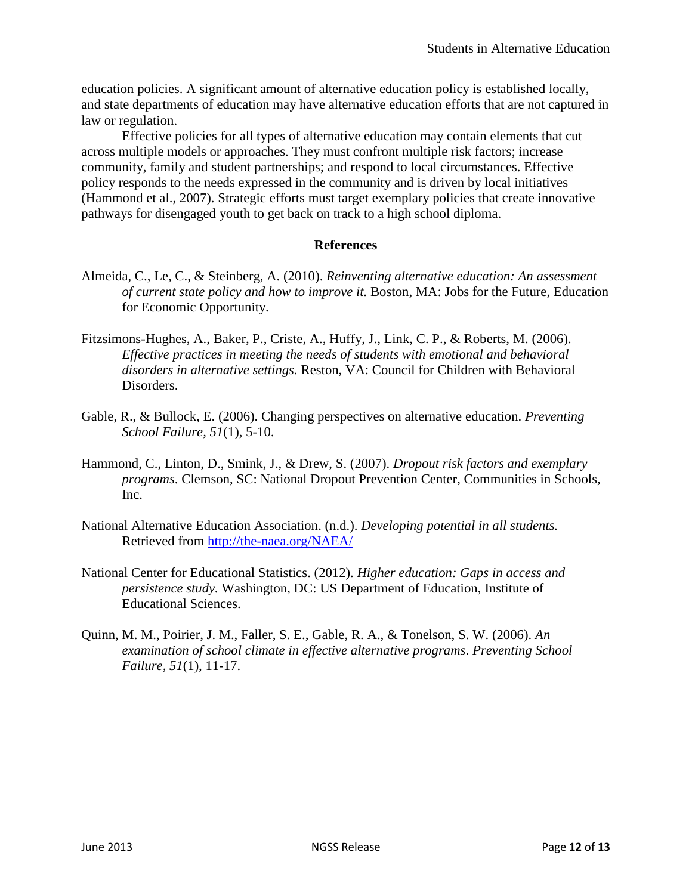education policies. A significant amount of alternative education policy is established locally, and state departments of education may have alternative education efforts that are not captured in law or regulation.

Effective policies for all types of alternative education may contain elements that cut across multiple models or approaches. They must confront multiple risk factors; increase community, family and student partnerships; and respond to local circumstances. Effective policy responds to the needs expressed in the community and is driven by local initiatives (Hammond et al., 2007). Strategic efforts must target exemplary policies that create innovative pathways for disengaged youth to get back on track to a high school diploma.

## **References**

- [Almeida, C.,](http://www.voced.edu.au/search/apachesolr_search/?filters=all_authors%3A%22Almeida%2C+Cheryl%22) [Le, C.,](http://www.voced.edu.au/search/apachesolr_search/?filters=all_authors%3A%22Le%2C+Cecilia%22) & [Steinberg, A.](http://www.voced.edu.au/search/apachesolr_search/?filters=all_authors%3A%22Steinberg%2C+Adria%22) (2010). *[Reinventing alternative education: An assessment](http://www.voced.edu.au/content/ngv47395)  [of current state policy and how to improve it.](http://www.voced.edu.au/content/ngv47395)* Boston, MA: Jobs for the Future, Education [for Economic Opportunity.](http://www.voced.edu.au/search/apachesolr_search/?filters=all_corpauthors%3A%22Jobs+for+the+Future+%28U.S.%29+%28JFF%29%22)
- Fitzsimons-Hughes, A., Baker, P., Criste, A., Huffy, J., Link, C. P., & Roberts, M. (2006). *Effective practices in meeting the needs of students with emotional and behavioral disorders in alternative settings.* Reston, VA: Council for Children with Behavioral Disorders.
- Gable, R., & Bullock, E. (2006). Changing perspectives on alternative education. *Preventing School Failure, 51*(1), 5-10.
- Hammond, C., Linton, D., Smink, J., & Drew, S. (2007). *Dropout risk factors and exemplary programs*. Clemson, SC: National Dropout Prevention Center, Communities in Schools, Inc.
- [National Alternative Education Association.](http://the-naea.org/NAEA/) (n.d.). *Developing potential in all students.*  Retrieved from<http://the-naea.org/NAEA/>
- National Center for Educational Statistics. (2012). *Higher education: Gaps in access and persistence study.* Washington, DC: US Department of Education, Institute of Educational Sciences.
- Quinn, M. M., Poirier, J. M., Faller, S. E., Gable, R. A., & Tonelson, S. W. (2006). *An examination of school climate in effective alternative programs*. *Preventing School Failure, 51*(1), 11-17.